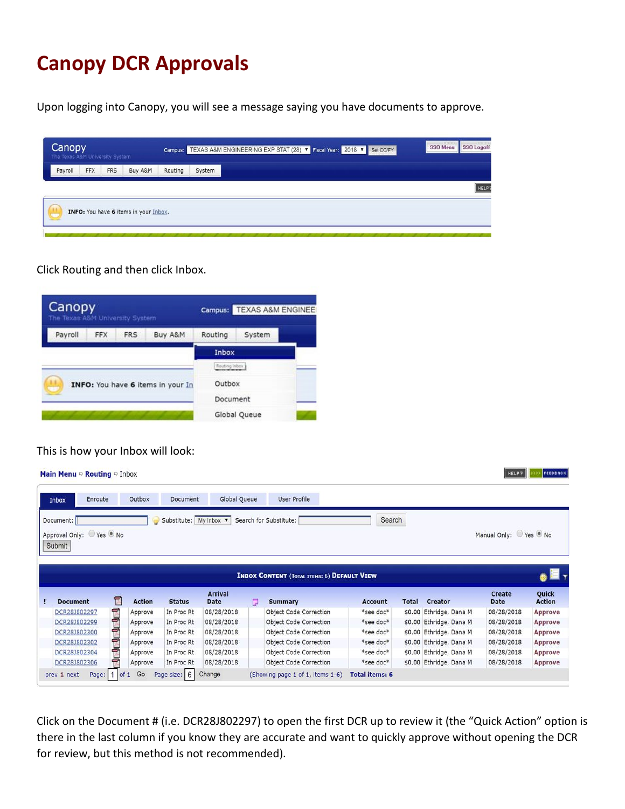## **Canopy DCR Approvals**

Upon logging into Canopy, you will see a message saying you have documents to approve.

| Canopy<br>The Texas A&M University System |            |                                       |         |        | Campus: TEXAS A&M ENGINEERING EXP STAT (28) T Fiscal Year: 2018 T Set CC/FY |  | <b>TERRETTE</b><br><b>SSO Menu</b> | <b>WEEFERENCE</b><br>SSO Logoff |
|-------------------------------------------|------------|---------------------------------------|---------|--------|-----------------------------------------------------------------------------|--|------------------------------------|---------------------------------|
| Payroll<br><b>FFX</b>                     | <b>FRS</b> | Buy A&M                               | Routing | System |                                                                             |  |                                    |                                 |
|                                           |            |                                       |         |        |                                                                             |  |                                    | HELP <sup>-</sup>               |
| $\bigoplus$                               |            | INFO: You have 6 items in your Inbox. |         |        |                                                                             |  |                                    |                                 |

Click Routing and then click Inbox.



## This is how your Inbox will look:

| Enroute<br>Inbox                                                             |        | Outbox        | Document               | Global Queue   |   | User Profile                                       |                |              |                         |                      |                                          |
|------------------------------------------------------------------------------|--------|---------------|------------------------|----------------|---|----------------------------------------------------|----------------|--------------|-------------------------|----------------------|------------------------------------------|
| Document:                                                                    |        |               | Substitute: My Inbox v |                |   | Search for Substitute:                             | Search         |              |                         |                      |                                          |
| Approval Only: Yes ONo                                                       |        |               |                        |                |   |                                                    |                |              |                         | Manual Only: Yes ONo |                                          |
| Submit                                                                       |        |               |                        |                |   |                                                    |                |              |                         |                      |                                          |
|                                                                              |        |               |                        |                |   |                                                    |                |              |                         |                      |                                          |
|                                                                              |        |               |                        |                |   |                                                    |                |              |                         |                      |                                          |
|                                                                              |        |               |                        |                |   |                                                    |                |              |                         |                      |                                          |
|                                                                              |        |               |                        |                |   | <b>INBOX CONTENT (TOTAL ITEMS: 6) DEFAULT VIEW</b> |                |              |                         |                      |                                          |
|                                                                              |        |               |                        | <b>Arrival</b> |   |                                                    |                |              |                         | Create               | Quick                                    |
| <b>Document</b>                                                              | 冒      | <b>Action</b> | <b>Status</b>          | Date           | п | <b>Summary</b>                                     | <b>Account</b> | <b>Total</b> | <b>Creator</b>          | <b>Date</b>          | <b>Action</b>                            |
|                                                                              |        | Approve       | In Proc Rt             | 08/28/2018     |   | <b>Object Code Correction</b>                      | *see doc*      | \$0.00       | Ethridge, Dana M        | 08/28/2018           |                                          |
|                                                                              | T      | Approve       | In Proc Rt             | 08/28/2018     |   | Object Code Correction                             | *see doc*      |              | \$0.00 Ethridge, Dana M | 08/28/2018           |                                          |
|                                                                              |        | Approve       | In Proc Rt             | 08/28/2018     |   | Object Code Correction                             | *see doc*      | \$0.00       | Ethridge, Dana M        | 08/28/2018           |                                          |
|                                                                              | ig ig  | Approve       | In Proc Rt             | 08/28/2018     |   | <b>Object Code Correction</b>                      | *see doc*      | \$0.00       | Ethridge, Dana M        | 08/28/2018           | Approve<br>Approve<br>Approve<br>Approve |
| DCR28J802297<br>DCR28J802299<br>DCR28J802300<br>DCR28J802302<br>DCR28J802304 | Ē<br>f | Approve       | In Proc Rt             | 08/28/2018     |   | Object Code Correction                             | *see doc*      | \$0.00       | Ethridge, Dana M        | 08/28/2018           | Approve                                  |

Click on the Document # (i.e. DCR28J802297) to open the first DCR up to review it (the "Quick Action" option is there in the last column if you know they are accurate and want to quickly approve without opening the DCR for review, but this method is not recommended).